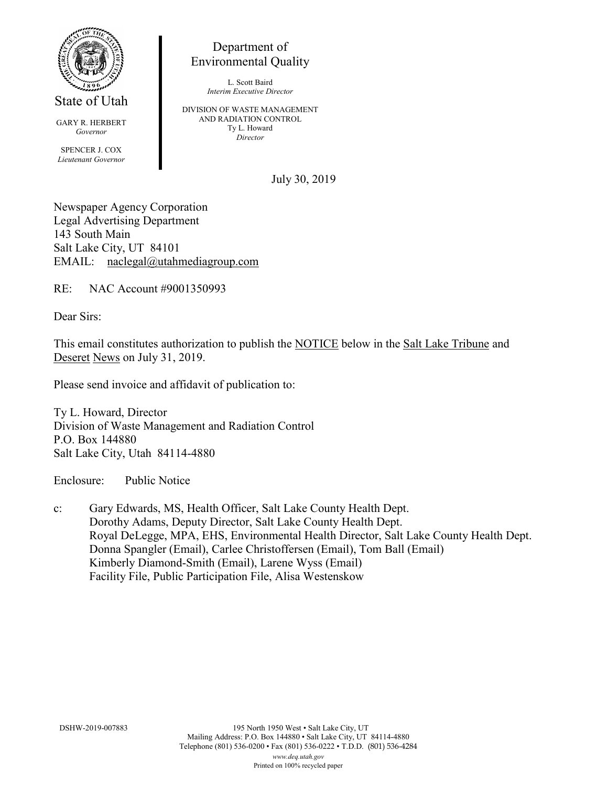

State of Utah

GARY R. HERBERT *Governor* SPENCER J. COX *Lieutenant Governor*

Department of Environmental Quality

> L. Scott Baird *Interim Executive Director*

DIVISION OF WASTE MANAGEMENT AND RADIATION CONTROL Ty L. Howard *Director*

July 30, 2019

Newspaper Agency Corporation Legal Advertising Department 143 South Main Salt Lake City, UT 84101 EMAIL: naclegal@utahmediagroup.com

RE: NAC Account #9001350993

Dear Sirs:

This email constitutes authorization to publish the NOTICE below in the Salt Lake Tribune and Deseret News on July 31, 2019.

Please send invoice and affidavit of publication to:

Ty L. Howard, Director Division of Waste Management and Radiation Control P.O. Box 144880 Salt Lake City, Utah 84114-4880

Enclosure: Public Notice

c: Gary Edwards, MS, Health Officer, Salt Lake County Health Dept. Dorothy Adams, Deputy Director, Salt Lake County Health Dept. Royal DeLegge, MPA, EHS, Environmental Health Director, Salt Lake County Health Dept. Donna Spangler (Email), Carlee Christoffersen (Email), Tom Ball (Email) Kimberly Diamond-Smith (Email), Larene Wyss (Email) Facility File, Public Participation File, Alisa Westenskow